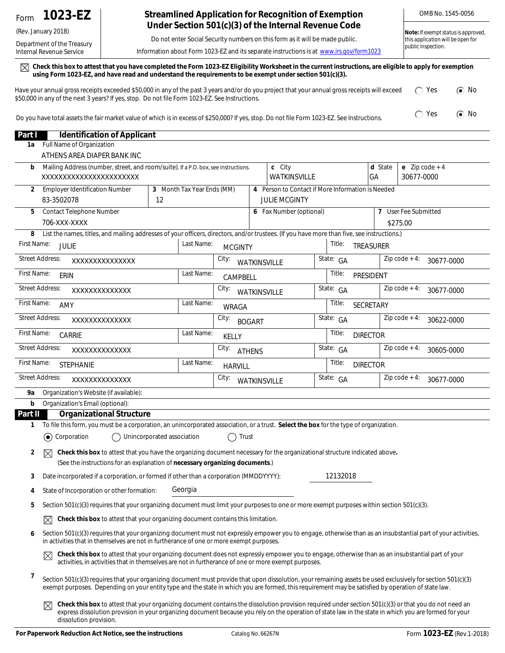## (Rev. January 2018)

Department of the Treasury Internal Revenue Service

## **Streamlined Application for Recognition of Exemption Under Section 501(c)(3) of the Internal Revenue Code**

Do not enter Social Security numbers on this form as it will be made public.

Information about Form 1023-EZ and its separate instructions is at *www.irs.gov/form1023*

 $\boxtimes$  Check this box to attest that you have completed the Form 1023-EZ Eligibility Worksheet in the current instructions, are eligible to apply for exemption **using Form 1023-EZ, and have read and understand the requirements to be exempt under section 501(c)(3).**

| Have your annual gross receipts exceeded \$50,000 in any of the past 3 years and/or do you project that your annual gross receipts will exceed | $\bigcap$ Yes | $\odot$ No |
|------------------------------------------------------------------------------------------------------------------------------------------------|---------------|------------|
| \$50,000 in any of the next 3 years? If yes, stop. Do not file Form 1023-EZ. See Instructions.                                                 |               |            |
|                                                                                                                                                |               |            |

Do you have total assets the fair market value of which is in excess of \$250,000? If yes, stop. Do not file Form 1023-EZ. See Instructions.  $\bigcap$  Yes  $\bigcirc$  No

| Part I                 | <b>Identification of Applicant</b>                                                                                                                                                                                                                                                                                                                       |                            |                            |                                 |               |                                                                           |  |           |                  |                                |
|------------------------|----------------------------------------------------------------------------------------------------------------------------------------------------------------------------------------------------------------------------------------------------------------------------------------------------------------------------------------------------------|----------------------------|----------------------------|---------------------------------|---------------|---------------------------------------------------------------------------|--|-----------|------------------|--------------------------------|
| 1a                     | Full Name of Organization                                                                                                                                                                                                                                                                                                                                |                            |                            |                                 |               |                                                                           |  |           |                  |                                |
|                        | ATHENS AREA DIAPER BANK INC                                                                                                                                                                                                                                                                                                                              |                            |                            |                                 |               |                                                                           |  |           |                  |                                |
| b                      | Mailing Address (number, street, and room/suite). If a P.O. box, see instructions.<br>XXXXXXXXXXXXXXXXXXXXXXX                                                                                                                                                                                                                                            |                            |                            |                                 |               | c City<br>WATKINSVILLE                                                    |  |           | d State<br>GA    | e $Zip code + 4$<br>30677-0000 |
| 2                      | <b>Employer Identification Number</b><br>83-3502078                                                                                                                                                                                                                                                                                                      | 12                         | 3 Month Tax Year Ends (MM) |                                 |               | 4 Person to Contact if More Information is Needed<br><b>JULIE MCGINTY</b> |  |           |                  |                                |
| 5                      | <b>Contact Telephone Number</b>                                                                                                                                                                                                                                                                                                                          |                            |                            |                                 |               | 6 Fax Number (optional)                                                   |  |           | 7                | User Fee Submitted             |
|                        | 706-XXX-XXXX                                                                                                                                                                                                                                                                                                                                             |                            |                            |                                 |               |                                                                           |  |           |                  | \$275.00                       |
| 8                      | List the names, titles, and mailing addresses of your officers, directors, and/or trustees. (If you have more than five, see instructions.)                                                                                                                                                                                                              |                            |                            |                                 |               |                                                                           |  |           |                  |                                |
| First Name:            | <b>JULIE</b>                                                                                                                                                                                                                                                                                                                                             |                            | Last Name:                 | <b>MCGINTY</b>                  |               |                                                                           |  | Title:    | <b>TREASURER</b> |                                |
| <b>Street Address:</b> | XXXXXXXXXXXXXX                                                                                                                                                                                                                                                                                                                                           |                            |                            | City:                           |               | <b>WATKINSVILLE</b>                                                       |  | State: GA |                  | $Zip code + 4:$<br>30677-0000  |
| First Name:            | ERIN                                                                                                                                                                                                                                                                                                                                                     |                            | Last Name:                 | CAMPBELL                        |               |                                                                           |  | Title:    | PRESIDENT        |                                |
| <b>Street Address:</b> | XXXXXXXXXXXXX                                                                                                                                                                                                                                                                                                                                            |                            |                            | City:                           |               | WATKINSVILLE                                                              |  | State: GA |                  | $Zip code + 4:$<br>30677-0000  |
| First Name:            | AMY                                                                                                                                                                                                                                                                                                                                                      |                            | Last Name:                 | <b>WRAGA</b>                    |               |                                                                           |  | Title:    | <b>SECRETARY</b> |                                |
| <b>Street Address:</b> | XXXXXXXXXXXXX                                                                                                                                                                                                                                                                                                                                            |                            |                            | City:                           | <b>BOGART</b> |                                                                           |  | State: GA |                  | $Zip code + 4:$<br>30622-0000  |
| First Name:            | CARRIE                                                                                                                                                                                                                                                                                                                                                   |                            | Last Name:                 | <b>KELLY</b>                    |               |                                                                           |  | Title:    | <b>DIRECTOR</b>  |                                |
| <b>Street Address:</b> | XXXXXXXXXXXXX                                                                                                                                                                                                                                                                                                                                            |                            |                            | City:                           | <b>ATHENS</b> |                                                                           |  | State: GA |                  | $Zip code + 4:$<br>30605-0000  |
| First Name:            | <b>STEPHANIE</b>                                                                                                                                                                                                                                                                                                                                         |                            | Last Name:                 | <b>HARVILL</b>                  |               |                                                                           |  | Title:    | <b>DIRECTOR</b>  |                                |
| <b>Street Address:</b> | XXXXXXXXXXXXX                                                                                                                                                                                                                                                                                                                                            |                            |                            | City:                           |               | <b>WATKINSVILLE</b>                                                       |  | State: GA |                  | $Zip code + 4:$<br>30677-0000  |
| 9а                     | Organization's Website (if available):                                                                                                                                                                                                                                                                                                                   |                            |                            |                                 |               |                                                                           |  |           |                  |                                |
| b                      | Organization's Email (optional):                                                                                                                                                                                                                                                                                                                         |                            |                            |                                 |               |                                                                           |  |           |                  |                                |
| Part II                | <b>Organizational Structure</b>                                                                                                                                                                                                                                                                                                                          |                            |                            |                                 |               |                                                                           |  |           |                  |                                |
| 1                      | To file this form, you must be a corporation, an unincorporated association, or a trust. Select the box for the type of organization.<br>$(\bullet)$<br>Corporation                                                                                                                                                                                      | Unincorporated association |                            | Trust<br>$\left( \quad \right)$ |               |                                                                           |  |           |                  |                                |
|                        |                                                                                                                                                                                                                                                                                                                                                          |                            |                            |                                 |               |                                                                           |  |           |                  |                                |
| 2                      | Check this box to attest that you have the organizing document necessary for the organizational structure indicated above.<br>⊠<br>(See the instructions for an explanation of necessary organizing documents.)                                                                                                                                          |                            |                            |                                 |               |                                                                           |  |           |                  |                                |
| 3                      | Date incorporated if a corporation, or formed if other than a corporation (MMDDYYYY):                                                                                                                                                                                                                                                                    |                            |                            |                                 |               |                                                                           |  | 12132018  |                  |                                |
| 4                      | State of Incorporation or other formation:                                                                                                                                                                                                                                                                                                               |                            | Georgia                    |                                 |               |                                                                           |  |           |                  |                                |
| 5                      | Section 501(c)(3) requires that your organizing document must limit your purposes to one or more exempt purposes within section 501(c)(3).                                                                                                                                                                                                               |                            |                            |                                 |               |                                                                           |  |           |                  |                                |
|                        | Check this box to attest that your organizing document contains this limitation.<br>$\boxtimes$                                                                                                                                                                                                                                                          |                            |                            |                                 |               |                                                                           |  |           |                  |                                |
| 6                      | Section 501(c)(3) requires that your organizing document must not expressly empower you to engage, otherwise than as an insubstantial part of your activities,<br>in activities that in themselves are not in furtherance of one or more exempt purposes.                                                                                                |                            |                            |                                 |               |                                                                           |  |           |                  |                                |
|                        | Check this box to attest that your organizing document does not expressly empower you to engage, otherwise than as an insubstantial part of your<br>$\boxtimes$<br>activities, in activities that in themselves are not in furtherance of one or more exempt purposes.                                                                                   |                            |                            |                                 |               |                                                                           |  |           |                  |                                |
| 7                      | Section 501(c)(3) requires that your organizing document must provide that upon dissolution, your remaining assets be used exclusively for section 501(c)(3)<br>exempt purposes. Depending on your entity type and the state in which you are formed, this requirement may be satisfied by operation of state law.                                       |                            |                            |                                 |               |                                                                           |  |           |                  |                                |
|                        | Check this box to attest that your organizing document contains the dissolution provision required under section 501(c)(3) or that you do not need an<br>$\boxtimes$<br>express dissolution provision in your organizing document because you rely on the operation of state law in the state in which you are formed for your<br>dissolution provision. |                            |                            |                                 |               |                                                                           |  |           |                  |                                |

OMB No. 1545-0056

**Note:** *If exempt status is approved, this application will be open for* 

*public inspection.*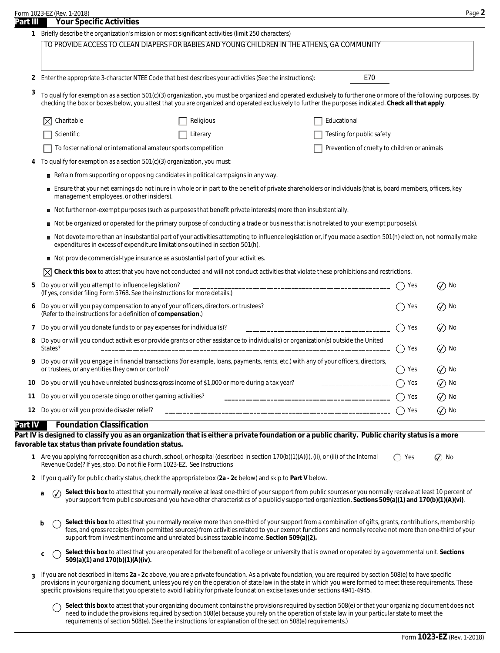|          | Form 1023-EZ (Rev. 1-2018)                                                                        | Page $\blacktriangle$ |
|----------|---------------------------------------------------------------------------------------------------|-----------------------|
| Part III | <b>Your Specific Activities</b>                                                                   |                       |
|          | Briefly describe the organization's mission or most significant activities (limit 250 characters) |                       |
|          | TO DDOUDE ACCECETO QUEAN DIADEDE EOD DADIEC AND VOLINO QUILDDEN IN THE ATHENIC OA COMMUNITY       |                       |

TO PROVIDE ACCESS TO CLEAN DIAPERS FOR BABIES AND YOUNG CHILDREN IN THE ATHENS, GA COMMUNITY

Enter the appropriate 3-character NTEE Code that best describes your activities (See the instructions): **2**

To qualify for exemption as a section 501(c)(3) organization, you must be organized and operated exclusively to further one or more of the following purposes. By checking the box or boxes below, you attest that you are organized and operated exclusively to further the purposes indicated. **Check all that apply**. **3**

| $\boxtimes$ Charitable                                         | Religious | Educational                                         |
|----------------------------------------------------------------|-----------|-----------------------------------------------------|
| Scientific                                                     | Literary  | Testing for public safety                           |
| To foster national or international amateur sports competition |           | $\top$ Prevention of cruelty to children or animals |

- **4** To qualify for exemption as a section 501(c)(3) organization, you must:
	- Refrain from supporting or opposing candidates in political campaigns in any way.
	- Ensure that your net earnings do not inure in whole or in part to the benefit of private shareholders or individuals (that is, board members, officers, key management employees, or other insiders).
	- Not further non-exempt purposes (such as purposes that benefit private interests) more than insubstantially.
	- Not be organized or operated for the primary purpose of conducting a trade or business that is not related to your exempt purpose(s).
	- Not devote more than an insubstantial part of your activities attempting to influence legislation or, if you made a section 501(h) election, not normally make expenditures in excess of expenditure limitations outlined in section 501(h).
	- Not provide commercial-type insurance as a substantial part of your activities.

 $\boxtimes$  **Check this box** to attest that you have not conducted and will not conduct activities that violate these prohibitions and restrictions.

| 5 Do you or will you attempt to influence legislation?<br>(If yes, consider filing Form 5768. See the instructions for more details.)                                                        | Yes | $\oslash$ No      |
|----------------------------------------------------------------------------------------------------------------------------------------------------------------------------------------------|-----|-------------------|
| 6 Do you or will you pay compensation to any of your officers, directors, or trustees?<br>-----------------------<br>(Refer to the instructions for a definition of compensation.)           | Yes | $\circledcirc$ No |
| 7 Do you or will you donate funds to or pay expenses for individual(s)?<br>____________________________________                                                                              | Yes | $\circledcirc$ No |
| 8 Do you or will you conduct activities or provide grants or other assistance to individual(s) or organization(s) outside the United<br>States?                                              | Yes | $\mathcal{O}$ No  |
| 9 Do you or will you engage in financial transactions (for example, loans, payments, rents, etc.) with any of your officers, directors,<br>or trustees, or any entities they own or control? | Yes | $\circledcirc$ No |
| 10 Do you or will you have unrelated business gross income of \$1,000 or more during a tax year?<br>_________________                                                                        | Yes | $\circledcirc$ No |
| 11 Do you or will you operate bingo or other gaming activities?                                                                                                                              | Yes | $\circledcirc$ No |
| 12 Do you or will you provide disaster relief?                                                                                                                                               | Yes | $\circledcirc$ No |
|                                                                                                                                                                                              |     |                   |

## **Part IV Foundation Classification**

Part IV is designed to classify you as an organization that is either a private foundation or a public charity. Public charity status is a more **favorable tax status than private foundation status.**

- **1** Are you applying for recognition as a church, school, or hospital (described in section 170(b)(1)(A)(i), (ii), or (iii) of the Internal  $\bigcirc$  Yes  $\mathcal G$  No Revenue Code)? If yes, stop. Do not file Form 1023-EZ. See Instructions
- **2** If you qualify for public charity status, check the appropriate box (**2a 2c** below) and skip to **Part V** below.
	- **a**  $\bigcirc$  Select this box to attest that you normally receive at least one-third of your support from public sources or you normally receive at least 10 percent of your support from public sources and you have other characteristics of a publicly supported organization. **Sections 509(a)(1) and 170(b)(1)(A)(vi)**.  $\cal{Q}$
	- **b** Select this box to attest that you normally receive more than one-third of your support from a combination of gifts, grants, contributions, membership fees, and gross receipts (from permitted sources) from activities related to your exempt functions and normally receive not more than one-third of your support from investment income and unrelated business taxable income. **Section 509(a)(2).**
	- **Select this box** to attest that you are operated for the benefit of a college or university that is owned or operated by a governmental unit. **Sections 509(a)(1)** and 170(b)(1)(A)(iv).
- If you are not described in items **2a 2c** above, you are a private foundation. As a private foundation, you are required by section 508(e) to have specific provisions in your organizing document, unless you rely on the operation of state law in the state in which you were formed to meet these requirements. These specific provisions require that you operate to avoid liability for private foundation excise taxes under sections 4941-4945. **3**

Select this box to attest that your organizing document contains the provisions required by section 508(e) or that your organizing document does not need to include the provisions required by section 508(e) because you rely on the operation of state law in your particular state to meet the requirements of section 508(e). (See the instructions for explanation of the section 508(e) requirements.)

E70